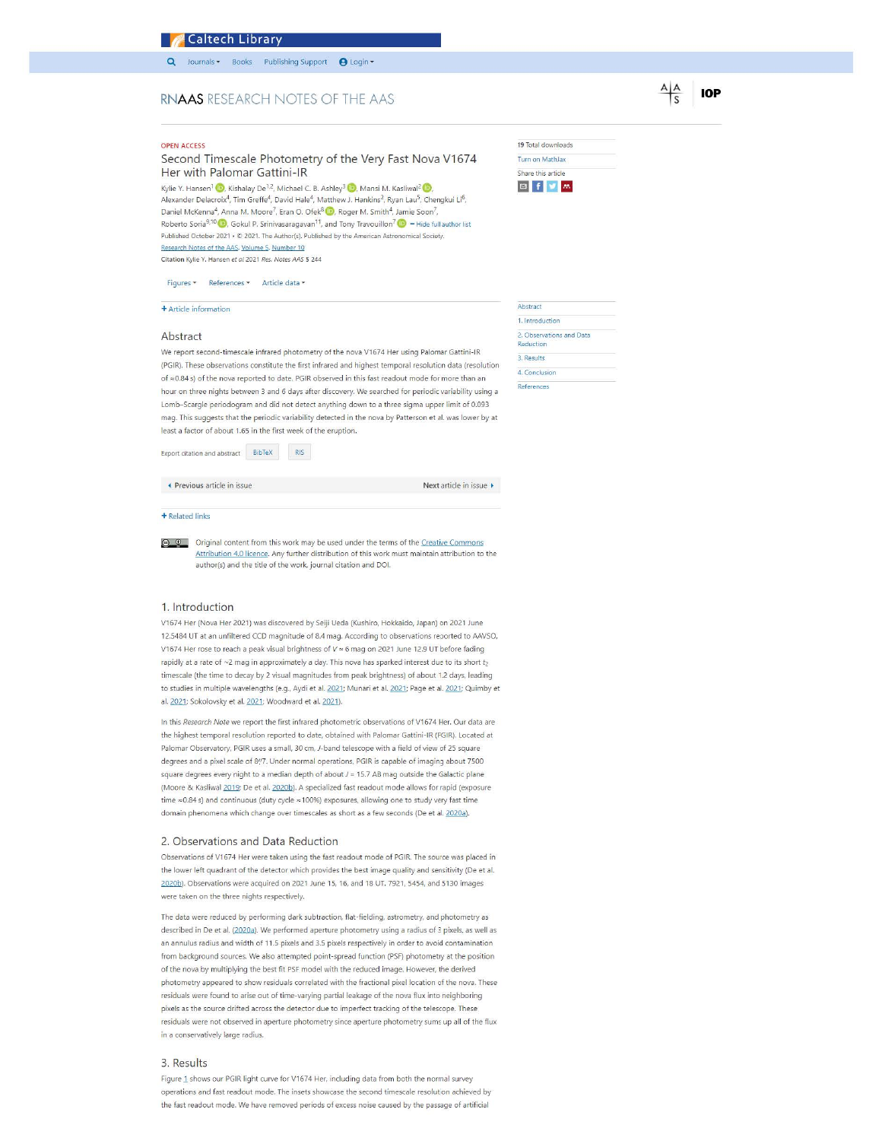# **Caltech Library**

Journals · Books Publishing Support **@** Login ·

## RNAAS RESEARCH NOTES OF THE AAS

## OPEN ACCESS

## Second Timescale Photometry of the Very Fast Nova V1674 Her with Palomar Gattini-lR

Kylie Y. Hansen<sup>1</sup> (D), Kishalay De<sup>1,</sup> 2. Alexander Delacroix<sup>4</sup>, Tim Greffe<sup>4</sup>, David Hale<sup>4</sup>, Matthew J. Hankins<sup>2</sup>, Ryan Lau<sup>5</sup>, Chengkui Li<sup>6</sup>, Daniel McKenna<sup>4</sup>, Anna M. Moore<sup>7</sup>, Eran O. Ofek<sup>8</sup> (D), Roger M. Smith<sup>4</sup>, Jamie Soon<sup>7</sup>, Roberto Soria<sup>9,10</sup> (D), Gokul P. Srinivasaragavan<sup>11</sup>, and Tony Travouillon<sup>7</sup> (D) - Hide full author list Published October 2021 • C 2021. The Author(s). Published by the American Astronomical Society.<br>Published October 2021 • C 2021. The Author(s). Published by the American Astronomical Society.<br>Research Notes of the AAS, Vol Citation Kylie Y. Hansen *et al* 2021 *Res. Notes AAS* 5 244

Figures • References • Article data •

# + Article information

## Abstract

We report second-timescale infrared photometry of the nova V1674 Her using Palomar Gattini-lR (PGIR). These observations constitute the first infrared and highest temporal resoluticn data (resolution of  $\approx$  0.84 s) of the nova reported to date. PGIR observed in this fast readout mode for more than an hour on three nights between 3 and 6 days after discovery. We searched for periodic variability using a Lomb-Scargle periodogram and did not detect anything down to a three sigma upper limit of 0.093 mag. This suggests that the periodic variability detected in the nova by Patterson et al. was lower by at least a factor of about 1.65 in the first week of the eruption.

Export citation and abstract BibTeX RIS

◄ Previous article in issue Next article in issue ►

### + Related links

© © Original content from this work may be used under the terms of the Creative Commons Attribution 4.0 licence. Any further distribution of this work must maintain attribution to the author(s) and the title of the work. journal citation and DOI.

### 1. Introduction

V1674 Her (Nova Her 2021) was discovered by Seiji Ueda (Kushiro, Hokkaido, Japan) on 2021 June 12.5484 UT at an unfiltered CCD magnitude of 8.4 mag. According to observations reported to AAVSO, V1674 Her rose to reach a peak visual brightness of  $V \approx 6$  mag on 2021 June 12.9 UT before fading rapidly at a rate of  $\sim$ 2 mag in approximately a day. This nova has sparked interest due to its short  $t_2$ timescale (the time to decay by 2 visual magnitudes from peak brightness) of about 1.2 days, leading to studies in multiple wavelengths (e.g., Aydi et al. 2021; Munari et al. 2021; Page et al. 2021; Quimby et a1. 2Q21; Sokolovsky et al. 2Q21; Woodward et al. 2Q21).

In this Research Note we report the first infrared photometric observations of V1674 Her. Our data are the highest temporal resolution reported to date, obtained with Palomar Gattini-lR (FGIR). Located at Palomar Observatory, PGIR uses a small, 30cm, J-band telescope with a field of view of 25 square degrees and a pixel scale of 8<sup>1</sup>/7. Under normal operations, PGIR is capable of imaging about 7500 square degrees every night to a median depth of about  $J = 15.7$  AB mag outside the Galactic plane (Moore & Kasliwal 2019; De et al. 2020b). A specialized fast readout mode allows for rapid (exposure time  $\approx$  0.84 s) and continuous (duty cycle  $\approx$  100%) exposures, allowing one to study very fast time domain phenomena which change over timescales as short as a few seconds (De et al. 2020a).

### 2. Observations and Data Reduction

Observations of V1674 Her were taken using the fast readout mode of PGIR. The source was placed in the lower left quadrant of the detector which provides the best image quality and sensitivity (De et al. 2020b). Observations were acquired on 2021 June 15, 16, and 18 UT. 7921, 5454, and 5130 images were taken on the three nights respectively.

The data were reduced by performing dark subtraction, flat-fielding, astrometry, and photometry as described in De et al. (2020a). We performed aperture photometry using a radius of 3 pixels, as well as an annulus radius and width of 11.5 pixels and 3.5 pixels respectively in order to avoid contamination from background sources. We also attempted point-spread function (PSF) photometry at the position of the nova by multiplying the best fit PSF model with the reduced image. However, the derived photometry appeared to show residuals correlated with the fractional pixel location of the nova. These residuals were found to arise out of time-varying partial leakage of the nova flux into neighboring pixels as the source drifted across the detector due to imperfect tracking of the telescope. These residuals were not observed in aperture photometry since aperture photometry sums up all of the flux in a conservatively large radius.

#### 3. Results

Figure 1 shows our PGIR light curve for V1674 Her, including data from both the normal survey operations and fast readout mode. The insets showcase the second timescale resolut on achieved by the fast readout mode. We have removed periods of excess noise caused by the passage of artificial

| 19 Total downloads |  |
|--------------------|--|
| Turn on MathJax    |  |
| Share this article |  |
|                    |  |

19  $Tu$ 

| Abstract                              |  |
|---------------------------------------|--|
| 1. Introduction                       |  |
| 2. Observations and Data<br>Reduction |  |
| 3. Results                            |  |
| 4. Conclusion                         |  |
| References                            |  |